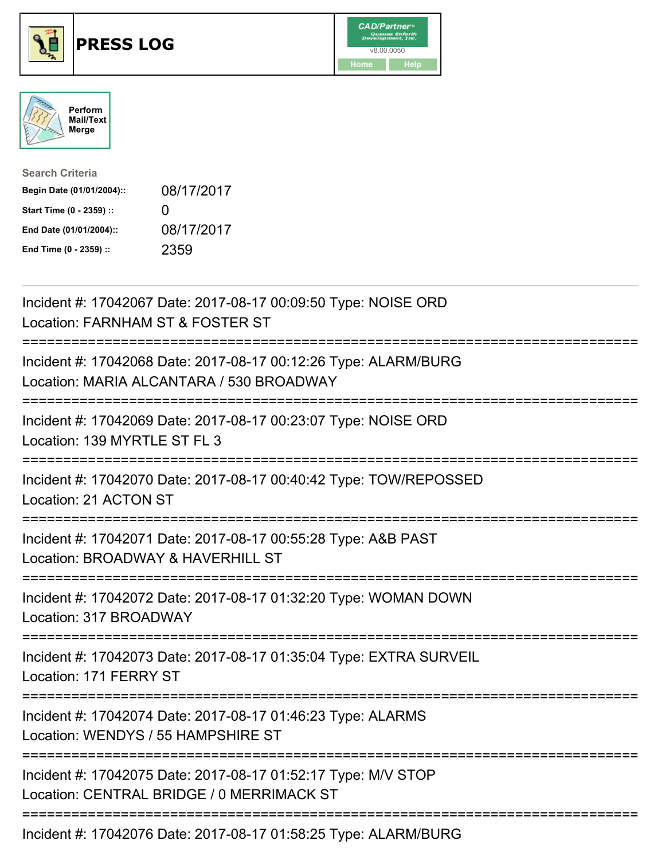

## **PRESS LOG** v8.00.0050





| <b>Search Criteria</b>    |                   |
|---------------------------|-------------------|
| Begin Date (01/01/2004):: | 08/17/2017        |
| Start Time (0 - 2359) ::  | $\mathbf{\Omega}$ |
| End Date (01/01/2004)::   | 08/17/2017        |
| End Time (0 - 2359) ::    | 2359              |

Incident #: 17042067 Date: 2017-08-17 00:09:50 Type: NOISE ORD Location: FARNHAM ST & FOSTER ST =========================================================================== Incident #: 17042068 Date: 2017-08-17 00:12:26 Type: ALARM/BURG Location: MARIA ALCANTARA / 530 BROADWAY =========================================================================== Incident #: 17042069 Date: 2017-08-17 00:23:07 Type: NOISE ORD Location: 139 MYRTLE ST FL 3 =========================================================================== Incident #: 17042070 Date: 2017-08-17 00:40:42 Type: TOW/REPOSSED Location: 21 ACTON ST =========================================================================== Incident #: 17042071 Date: 2017-08-17 00:55:28 Type: A&B PAST Location: BROADWAY & HAVERHILL ST =========================================================================== Incident #: 17042072 Date: 2017-08-17 01:32:20 Type: WOMAN DOWN Location: 317 BROADWAY =========================================================================== Incident #: 17042073 Date: 2017-08-17 01:35:04 Type: EXTRA SURVEIL Location: 171 FERRY ST =========================================================================== Incident #: 17042074 Date: 2017-08-17 01:46:23 Type: ALARMS Location: WENDYS / 55 HAMPSHIRE ST =========================================================================== Incident #: 17042075 Date: 2017-08-17 01:52:17 Type: M/V STOP Location: CENTRAL BRIDGE / 0 MERRIMACK ST =========================================================================== Incident #: 17042076 Date: 2017-08-17 01:58:25 Type: ALARM/BURG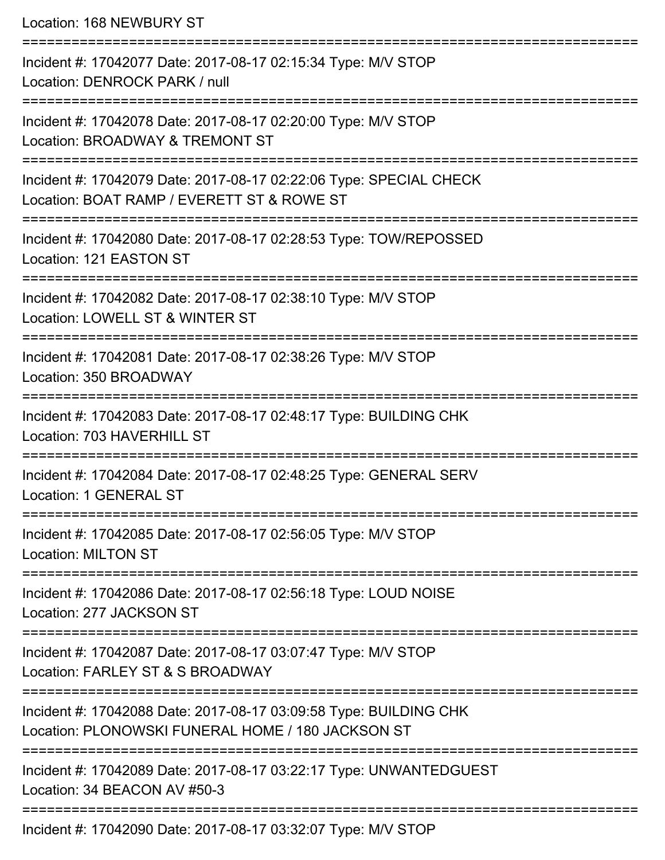Location: 168 NEWBURY ST

=========================================================================== Incident #: 17042077 Date: 2017-08-17 02:15:34 Type: M/V STOP Location: DENROCK PARK / null =========================================================================== Incident #: 17042078 Date: 2017-08-17 02:20:00 Type: M/V STOP Location: BROADWAY & TREMONT ST =========================================================================== Incident #: 17042079 Date: 2017-08-17 02:22:06 Type: SPECIAL CHECK Location: BOAT RAMP / EVERETT ST & ROWE ST =========================================================================== Incident #: 17042080 Date: 2017-08-17 02:28:53 Type: TOW/REPOSSED Location: 121 EASTON ST =========================================================================== Incident #: 17042082 Date: 2017-08-17 02:38:10 Type: M/V STOP Location: LOWELL ST & WINTER ST =========================================================================== Incident #: 17042081 Date: 2017-08-17 02:38:26 Type: M/V STOP Location: 350 BROADWAY =========================================================================== Incident #: 17042083 Date: 2017-08-17 02:48:17 Type: BUILDING CHK Location: 703 HAVERHILL ST =========================================================================== Incident #: 17042084 Date: 2017-08-17 02:48:25 Type: GENERAL SERV Location: 1 GENERAL ST =========================================================================== Incident #: 17042085 Date: 2017-08-17 02:56:05 Type: M/V STOP Location: MILTON ST =========================================================================== Incident #: 17042086 Date: 2017-08-17 02:56:18 Type: LOUD NOISE Location: 277 JACKSON ST =========================================================================== Incident #: 17042087 Date: 2017-08-17 03:07:47 Type: M/V STOP Location: FARLEY ST & S BROADWAY =========================================================================== Incident #: 17042088 Date: 2017-08-17 03:09:58 Type: BUILDING CHK Location: PLONOWSKI FUNERAL HOME / 180 JACKSON ST =========================================================================== Incident #: 17042089 Date: 2017-08-17 03:22:17 Type: UNWANTEDGUEST Location: 34 BEACON AV #50-3 =========================================================================== Incident #: 17042090 Date: 2017-08-17 03:32:07 Type: M/V STOP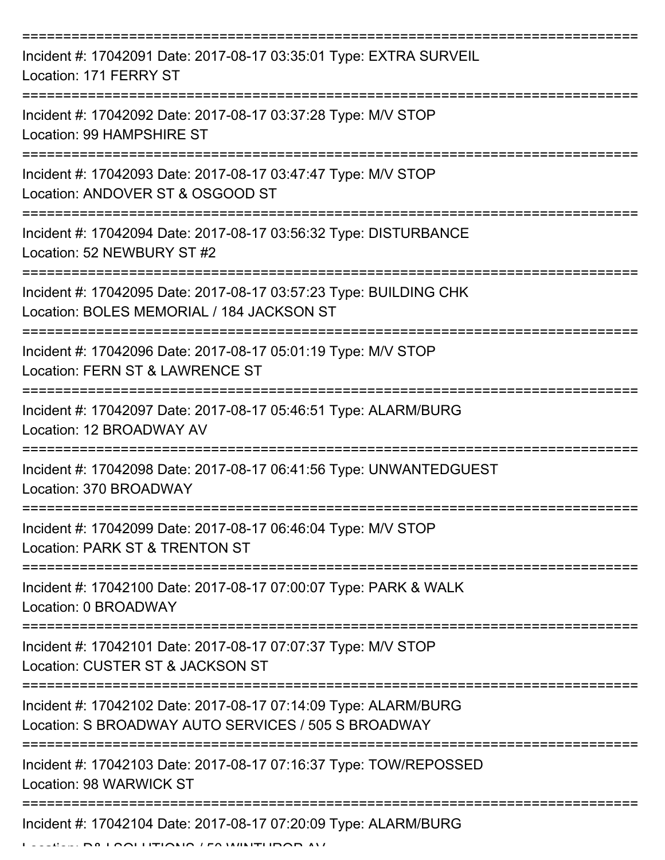| Incident #: 17042091 Date: 2017-08-17 03:35:01 Type: EXTRA SURVEIL<br>Location: 171 FERRY ST                                      |
|-----------------------------------------------------------------------------------------------------------------------------------|
| Incident #: 17042092 Date: 2017-08-17 03:37:28 Type: M/V STOP<br>Location: 99 HAMPSHIRE ST                                        |
| Incident #: 17042093 Date: 2017-08-17 03:47:47 Type: M/V STOP<br>Location: ANDOVER ST & OSGOOD ST                                 |
| Incident #: 17042094 Date: 2017-08-17 03:56:32 Type: DISTURBANCE<br>Location: 52 NEWBURY ST #2                                    |
| ===============<br>Incident #: 17042095 Date: 2017-08-17 03:57:23 Type: BUILDING CHK<br>Location: BOLES MEMORIAL / 184 JACKSON ST |
| Incident #: 17042096 Date: 2017-08-17 05:01:19 Type: M/V STOP<br>Location: FERN ST & LAWRENCE ST                                  |
| Incident #: 17042097 Date: 2017-08-17 05:46:51 Type: ALARM/BURG<br>Location: 12 BROADWAY AV                                       |
| Incident #: 17042098 Date: 2017-08-17 06:41:56 Type: UNWANTEDGUEST<br>Location: 370 BROADWAY                                      |
| Incident #: 17042099 Date: 2017-08-17 06:46:04 Type: M/V STOP<br>Location: PARK ST & TRENTON ST                                   |
| Incident #: 17042100 Date: 2017-08-17 07:00:07 Type: PARK & WALK<br>Location: 0 BROADWAY                                          |
| Incident #: 17042101 Date: 2017-08-17 07:07:37 Type: M/V STOP<br>Location: CUSTER ST & JACKSON ST                                 |
| Incident #: 17042102 Date: 2017-08-17 07:14:09 Type: ALARM/BURG<br>Location: S BROADWAY AUTO SERVICES / 505 S BROADWAY            |
| Incident #: 17042103 Date: 2017-08-17 07:16:37 Type: TOW/REPOSSED<br>Location: 98 WARWICK ST                                      |
| Incident #: 17042104 Date: 2017-08-17 07:20:09 Type: ALARM/BURG                                                                   |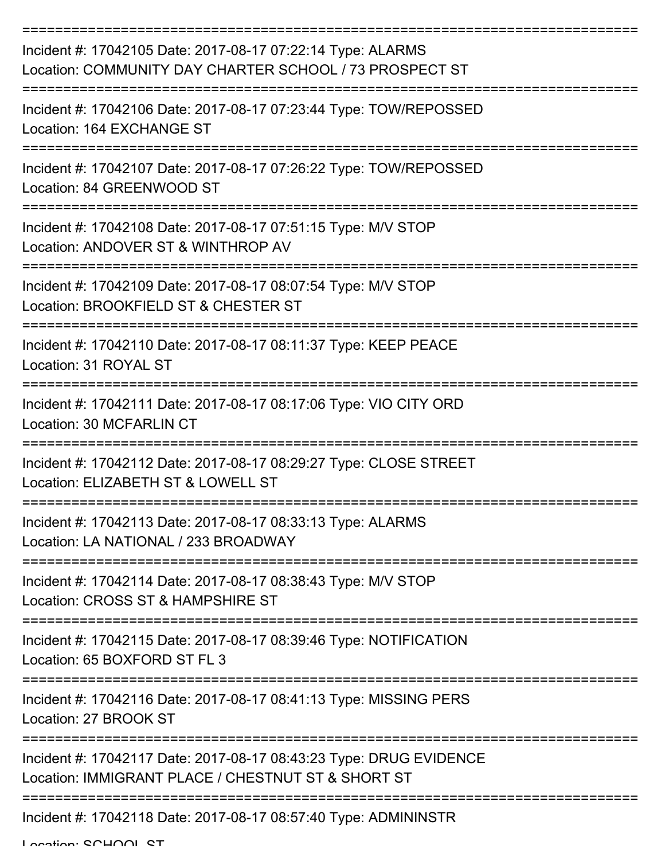| Incident #: 17042105 Date: 2017-08-17 07:22:14 Type: ALARMS<br>Location: COMMUNITY DAY CHARTER SCHOOL / 73 PROSPECT ST   |
|--------------------------------------------------------------------------------------------------------------------------|
| Incident #: 17042106 Date: 2017-08-17 07:23:44 Type: TOW/REPOSSED<br>Location: 164 EXCHANGE ST                           |
| Incident #: 17042107 Date: 2017-08-17 07:26:22 Type: TOW/REPOSSED<br>Location: 84 GREENWOOD ST                           |
| Incident #: 17042108 Date: 2017-08-17 07:51:15 Type: M/V STOP<br>Location: ANDOVER ST & WINTHROP AV                      |
| Incident #: 17042109 Date: 2017-08-17 08:07:54 Type: M/V STOP<br>Location: BROOKFIELD ST & CHESTER ST                    |
| Incident #: 17042110 Date: 2017-08-17 08:11:37 Type: KEEP PEACE<br>Location: 31 ROYAL ST                                 |
| Incident #: 17042111 Date: 2017-08-17 08:17:06 Type: VIO CITY ORD<br>Location: 30 MCFARLIN CT                            |
| Incident #: 17042112 Date: 2017-08-17 08:29:27 Type: CLOSE STREET<br>Location: ELIZABETH ST & LOWELL ST                  |
| Incident #: 17042113 Date: 2017-08-17 08:33:13 Type: ALARMS<br>Location: LA NATIONAL / 233 BROADWAY                      |
| Incident #: 17042114 Date: 2017-08-17 08:38:43 Type: M/V STOP<br>Location: CROSS ST & HAMPSHIRE ST                       |
| Incident #: 17042115 Date: 2017-08-17 08:39:46 Type: NOTIFICATION<br>Location: 65 BOXFORD ST FL 3                        |
| Incident #: 17042116 Date: 2017-08-17 08:41:13 Type: MISSING PERS<br>Location: 27 BROOK ST                               |
| Incident #: 17042117 Date: 2017-08-17 08:43:23 Type: DRUG EVIDENCE<br>Location: IMMIGRANT PLACE / CHESTNUT ST & SHORT ST |
| Incident #: 17042118 Date: 2017-08-17 08:57:40 Type: ADMININSTR                                                          |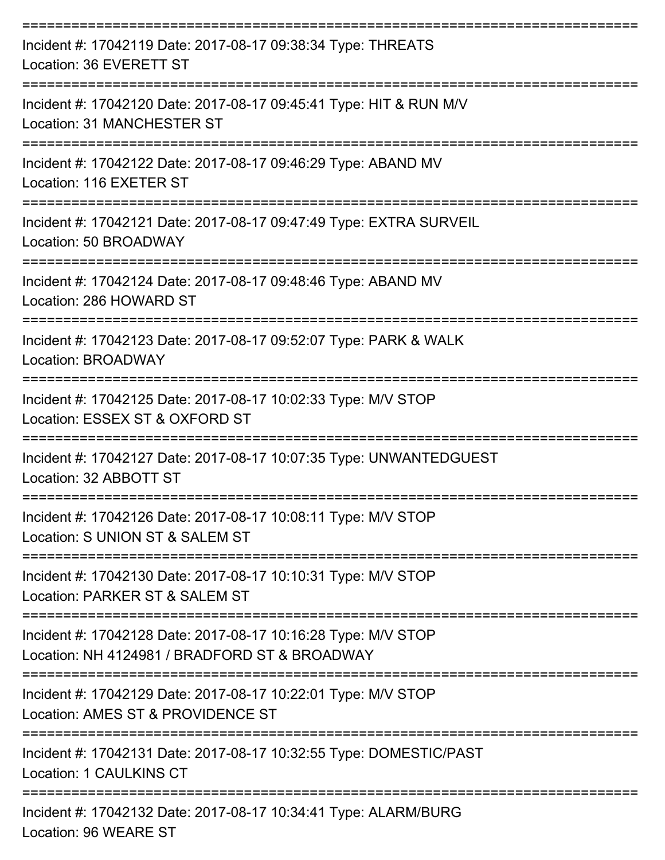| Incident #: 17042119 Date: 2017-08-17 09:38:34 Type: THREATS<br>Location: 36 EVERETT ST                        |
|----------------------------------------------------------------------------------------------------------------|
| Incident #: 17042120 Date: 2017-08-17 09:45:41 Type: HIT & RUN M/V<br>Location: 31 MANCHESTER ST               |
| Incident #: 17042122 Date: 2017-08-17 09:46:29 Type: ABAND MV<br>Location: 116 EXETER ST                       |
| Incident #: 17042121 Date: 2017-08-17 09:47:49 Type: EXTRA SURVEIL<br>Location: 50 BROADWAY                    |
| Incident #: 17042124 Date: 2017-08-17 09:48:46 Type: ABAND MV<br>Location: 286 HOWARD ST                       |
| Incident #: 17042123 Date: 2017-08-17 09:52:07 Type: PARK & WALK<br>Location: BROADWAY                         |
| Incident #: 17042125 Date: 2017-08-17 10:02:33 Type: M/V STOP<br>Location: ESSEX ST & OXFORD ST                |
| Incident #: 17042127 Date: 2017-08-17 10:07:35 Type: UNWANTEDGUEST<br>Location: 32 ABBOTT ST                   |
| Incident #: 17042126 Date: 2017-08-17 10:08:11 Type: M/V STOP<br>Location: S UNION ST & SALEM ST               |
| Incident #: 17042130 Date: 2017-08-17 10:10:31 Type: M/V STOP<br>Location: PARKER ST & SALEM ST                |
| Incident #: 17042128 Date: 2017-08-17 10:16:28 Type: M/V STOP<br>Location: NH 4124981 / BRADFORD ST & BROADWAY |
| Incident #: 17042129 Date: 2017-08-17 10:22:01 Type: M/V STOP<br>Location: AMES ST & PROVIDENCE ST             |
| Incident #: 17042131 Date: 2017-08-17 10:32:55 Type: DOMESTIC/PAST<br>Location: 1 CAULKINS CT                  |
| Incident #: 17042132 Date: 2017-08-17 10:34:41 Type: ALARM/BURG<br>Location: 96 WEARE ST                       |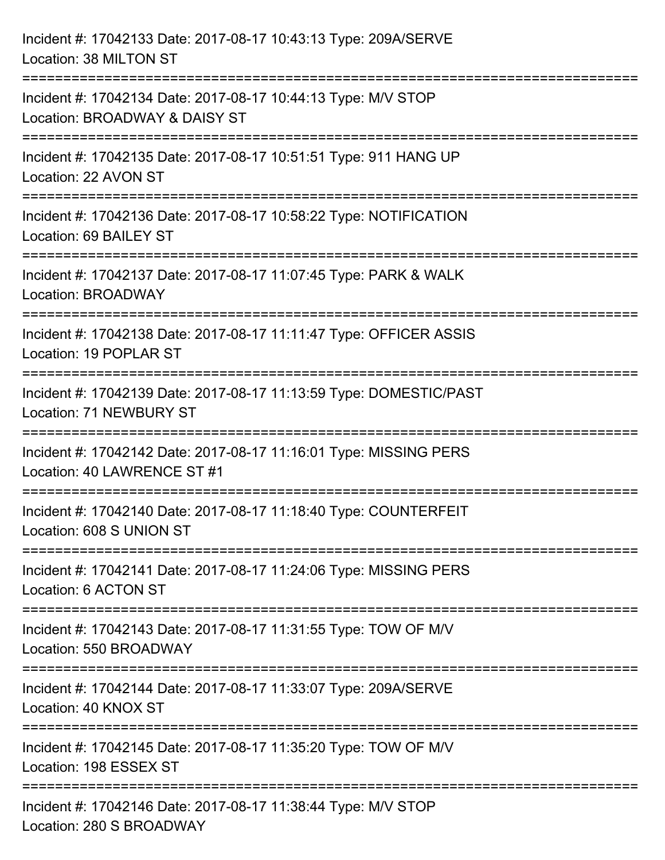| Incident #: 17042133 Date: 2017-08-17 10:43:13 Type: 209A/SERVE<br>Location: 38 MILTON ST        |
|--------------------------------------------------------------------------------------------------|
| Incident #: 17042134 Date: 2017-08-17 10:44:13 Type: M/V STOP<br>Location: BROADWAY & DAISY ST   |
| Incident #: 17042135 Date: 2017-08-17 10:51:51 Type: 911 HANG UP<br>Location: 22 AVON ST         |
| Incident #: 17042136 Date: 2017-08-17 10:58:22 Type: NOTIFICATION<br>Location: 69 BAILEY ST      |
| Incident #: 17042137 Date: 2017-08-17 11:07:45 Type: PARK & WALK<br>Location: BROADWAY           |
| Incident #: 17042138 Date: 2017-08-17 11:11:47 Type: OFFICER ASSIS<br>Location: 19 POPLAR ST     |
| Incident #: 17042139 Date: 2017-08-17 11:13:59 Type: DOMESTIC/PAST<br>Location: 71 NEWBURY ST    |
| Incident #: 17042142 Date: 2017-08-17 11:16:01 Type: MISSING PERS<br>Location: 40 LAWRENCE ST #1 |
| Incident #: 17042140 Date: 2017-08-17 11:18:40 Type: COUNTERFEIT<br>Location: 608 S UNION ST     |
| Incident #: 17042141 Date: 2017-08-17 11:24:06 Type: MISSING PERS<br>Location: 6 ACTON ST        |
| Incident #: 17042143 Date: 2017-08-17 11:31:55 Type: TOW OF M/V<br>Location: 550 BROADWAY        |
| Incident #: 17042144 Date: 2017-08-17 11:33:07 Type: 209A/SERVE<br>Location: 40 KNOX ST          |
| Incident #: 17042145 Date: 2017-08-17 11:35:20 Type: TOW OF M/V<br>Location: 198 ESSEX ST        |
| Incident #: 17042146 Date: 2017-08-17 11:38:44 Type: M/V STOP<br>Location: 280 S BROADWAY        |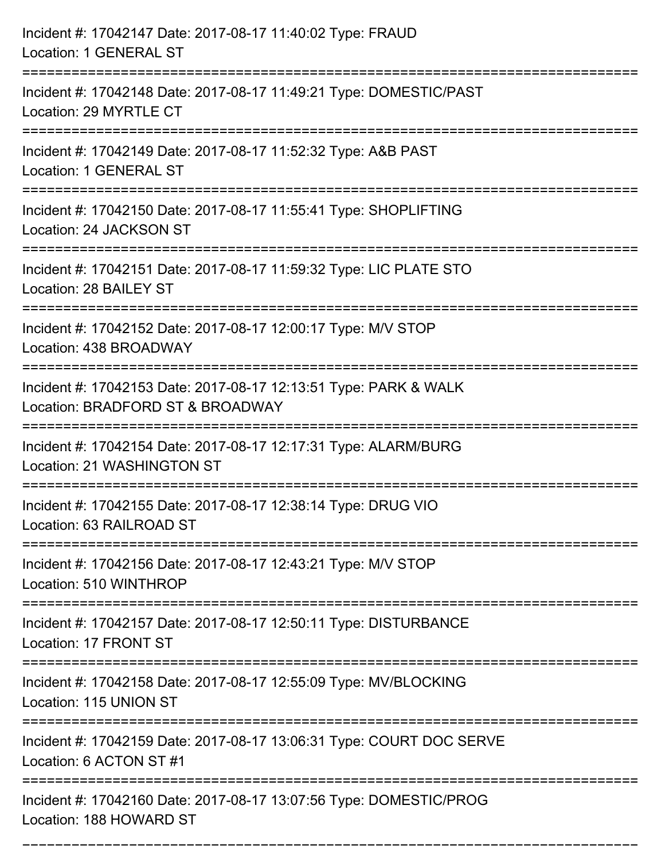| Incident #: 17042147 Date: 2017-08-17 11:40:02 Type: FRAUD<br>Location: 1 GENERAL ST                                          |
|-------------------------------------------------------------------------------------------------------------------------------|
| Incident #: 17042148 Date: 2017-08-17 11:49:21 Type: DOMESTIC/PAST<br>Location: 29 MYRTLE CT                                  |
| Incident #: 17042149 Date: 2017-08-17 11:52:32 Type: A&B PAST<br>Location: 1 GENERAL ST<br>================================== |
| Incident #: 17042150 Date: 2017-08-17 11:55:41 Type: SHOPLIFTING<br>Location: 24 JACKSON ST                                   |
| Incident #: 17042151 Date: 2017-08-17 11:59:32 Type: LIC PLATE STO<br>Location: 28 BAILEY ST                                  |
| Incident #: 17042152 Date: 2017-08-17 12:00:17 Type: M/V STOP<br>Location: 438 BROADWAY                                       |
| Incident #: 17042153 Date: 2017-08-17 12:13:51 Type: PARK & WALK<br>Location: BRADFORD ST & BROADWAY                          |
| Incident #: 17042154 Date: 2017-08-17 12:17:31 Type: ALARM/BURG<br>Location: 21 WASHINGTON ST                                 |
| Incident #: 17042155 Date: 2017-08-17 12:38:14 Type: DRUG VIO<br>Location: 63 RAILROAD ST                                     |
| Incident #: 17042156 Date: 2017-08-17 12:43:21 Type: M/V STOP<br>Location: 510 WINTHROP                                       |
| Incident #: 17042157 Date: 2017-08-17 12:50:11 Type: DISTURBANCE<br>Location: 17 FRONT ST                                     |
| Incident #: 17042158 Date: 2017-08-17 12:55:09 Type: MV/BLOCKING<br>Location: 115 UNION ST                                    |
| Incident #: 17042159 Date: 2017-08-17 13:06:31 Type: COURT DOC SERVE<br>Location: 6 ACTON ST #1                               |
| Incident #: 17042160 Date: 2017-08-17 13:07:56 Type: DOMESTIC/PROG<br>Location: 188 HOWARD ST                                 |

===========================================================================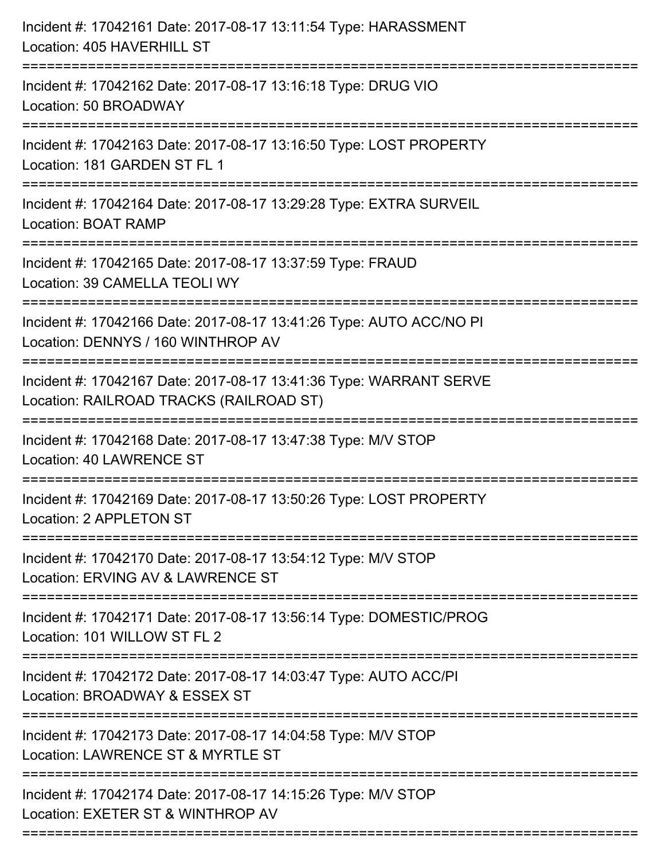| Incident #: 17042161 Date: 2017-08-17 13:11:54 Type: HARASSMENT<br>Location: 405 HAVERHILL ST                                         |
|---------------------------------------------------------------------------------------------------------------------------------------|
| ====================================<br>Incident #: 17042162 Date: 2017-08-17 13:16:18 Type: DRUG VIO<br>Location: 50 BROADWAY        |
| Incident #: 17042163 Date: 2017-08-17 13:16:50 Type: LOST PROPERTY<br>Location: 181 GARDEN ST FL 1<br>===========================     |
| Incident #: 17042164 Date: 2017-08-17 13:29:28 Type: EXTRA SURVEIL<br><b>Location: BOAT RAMP</b>                                      |
| Incident #: 17042165 Date: 2017-08-17 13:37:59 Type: FRAUD<br>Location: 39 CAMELLA TEOLI WY<br>-----------------                      |
| Incident #: 17042166 Date: 2017-08-17 13:41:26 Type: AUTO ACC/NO PI<br>Location: DENNYS / 160 WINTHROP AV<br>;======================= |
| Incident #: 17042167 Date: 2017-08-17 13:41:36 Type: WARRANT SERVE<br>Location: RAILROAD TRACKS (RAILROAD ST)<br>================     |
| Incident #: 17042168 Date: 2017-08-17 13:47:38 Type: M/V STOP<br><b>Location: 40 LAWRENCE ST</b>                                      |
| Incident #: 17042169 Date: 2017-08-17 13:50:26 Type: LOST PROPERTY<br>Location: 2 APPLETON ST                                         |
| Incident #: 17042170 Date: 2017-08-17 13:54:12 Type: M/V STOP<br>Location: ERVING AV & LAWRENCE ST                                    |
| Incident #: 17042171 Date: 2017-08-17 13:56:14 Type: DOMESTIC/PROG<br>Location: 101 WILLOW ST FL 2                                    |
| Incident #: 17042172 Date: 2017-08-17 14:03:47 Type: AUTO ACC/PI<br>Location: BROADWAY & ESSEX ST                                     |
| Incident #: 17042173 Date: 2017-08-17 14:04:58 Type: M/V STOP<br>Location: LAWRENCE ST & MYRTLE ST                                    |
| Incident #: 17042174 Date: 2017-08-17 14:15:26 Type: M/V STOP<br>Location: EXETER ST & WINTHROP AV                                    |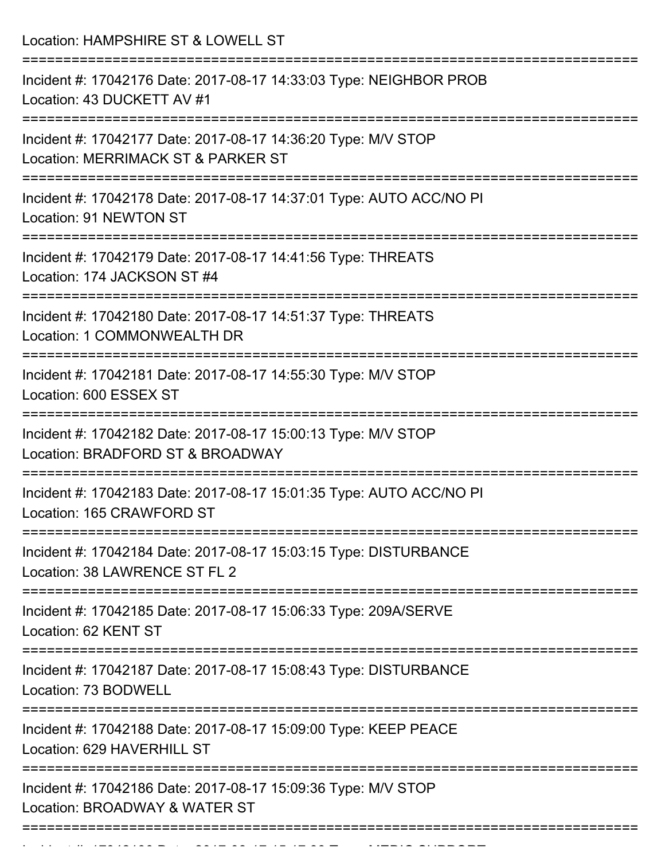| Location: HAMPSHIRE ST & LOWELL ST                                                                                             |
|--------------------------------------------------------------------------------------------------------------------------------|
| Incident #: 17042176 Date: 2017-08-17 14:33:03 Type: NEIGHBOR PROB<br>Location: 43 DUCKETT AV #1                               |
| Incident #: 17042177 Date: 2017-08-17 14:36:20 Type: M/V STOP<br>Location: MERRIMACK ST & PARKER ST<br>:====================== |
| Incident #: 17042178 Date: 2017-08-17 14:37:01 Type: AUTO ACC/NO PI<br>Location: 91 NEWTON ST                                  |
| Incident #: 17042179 Date: 2017-08-17 14:41:56 Type: THREATS<br>Location: 174 JACKSON ST #4                                    |
| Incident #: 17042180 Date: 2017-08-17 14:51:37 Type: THREATS<br>Location: 1 COMMONWEALTH DR                                    |
| Incident #: 17042181 Date: 2017-08-17 14:55:30 Type: M/V STOP<br>Location: 600 ESSEX ST                                        |
| Incident #: 17042182 Date: 2017-08-17 15:00:13 Type: M/V STOP<br>Location: BRADFORD ST & BROADWAY                              |
| Incident #: 17042183 Date: 2017-08-17 15:01:35 Type: AUTO ACC/NO PI<br>Location: 165 CRAWFORD ST                               |
| Incident #: 17042184 Date: 2017-08-17 15:03:15 Type: DISTURBANCE<br>Location: 38 LAWRENCE ST FL 2                              |
| Incident #: 17042185 Date: 2017-08-17 15:06:33 Type: 209A/SERVE<br>Location: 62 KENT ST                                        |
| Incident #: 17042187 Date: 2017-08-17 15:08:43 Type: DISTURBANCE<br>Location: 73 BODWELL                                       |
| -----------------------<br>Incident #: 17042188 Date: 2017-08-17 15:09:00 Type: KEEP PEACE<br>Location: 629 HAVERHILL ST       |
| Incident #: 17042186 Date: 2017-08-17 15:09:36 Type: M/V STOP<br>Location: BROADWAY & WATER ST                                 |

Incident #: 17042190 Date: 2017 08 17 15:17:33 Type: MEDIC SUPPORT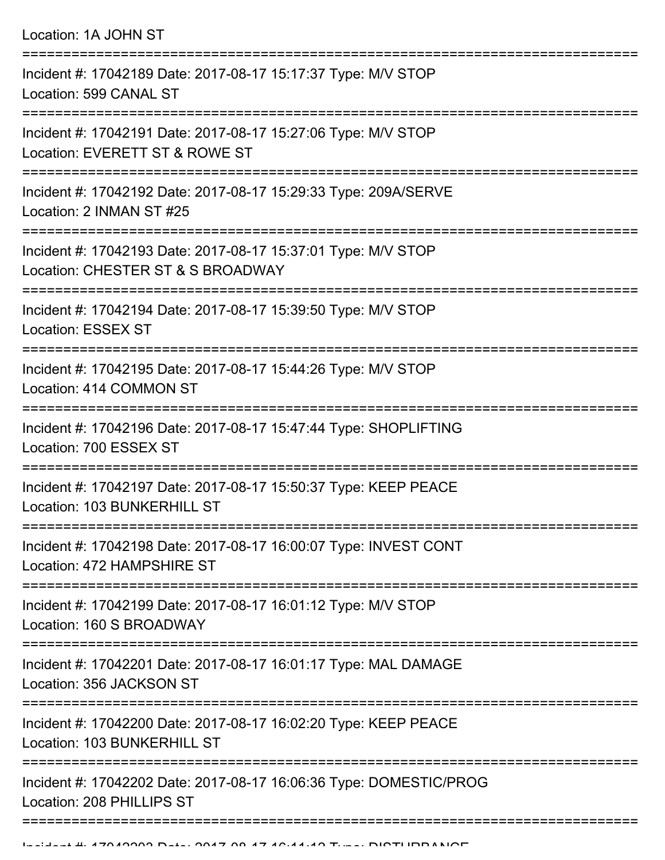| Location: 1A JOHN ST |  |  |  |
|----------------------|--|--|--|
|----------------------|--|--|--|

| Incident #: 17042189 Date: 2017-08-17 15:17:37 Type: M/V STOP<br>Location: 599 CANAL ST            |
|----------------------------------------------------------------------------------------------------|
| Incident #: 17042191 Date: 2017-08-17 15:27:06 Type: M/V STOP<br>Location: EVERETT ST & ROWE ST    |
| Incident #: 17042192 Date: 2017-08-17 15:29:33 Type: 209A/SERVE<br>Location: 2 INMAN ST #25        |
| Incident #: 17042193 Date: 2017-08-17 15:37:01 Type: M/V STOP<br>Location: CHESTER ST & S BROADWAY |
| Incident #: 17042194 Date: 2017-08-17 15:39:50 Type: M/V STOP<br><b>Location: ESSEX ST</b>         |
| Incident #: 17042195 Date: 2017-08-17 15:44:26 Type: M/V STOP<br>Location: 414 COMMON ST           |
| Incident #: 17042196 Date: 2017-08-17 15:47:44 Type: SHOPLIFTING<br>Location: 700 ESSEX ST         |
| Incident #: 17042197 Date: 2017-08-17 15:50:37 Type: KEEP PEACE<br>Location: 103 BUNKERHILL ST     |
| Incident #: 17042198 Date: 2017-08-17 16:00:07 Type: INVEST CONT<br>Location: 472 HAMPSHIRE ST     |
| Incident #: 17042199 Date: 2017-08-17 16:01:12 Type: M/V STOP<br>Location: 160 S BROADWAY          |
| Incident #: 17042201 Date: 2017-08-17 16:01:17 Type: MAL DAMAGE<br>Location: 356 JACKSON ST        |
| Incident #: 17042200 Date: 2017-08-17 16:02:20 Type: KEEP PEACE<br>Location: 103 BUNKERHILL ST     |
| Incident #: 17042202 Date: 2017-08-17 16:06:36 Type: DOMESTIC/PROG<br>Location: 208 PHILLIPS ST    |
|                                                                                                    |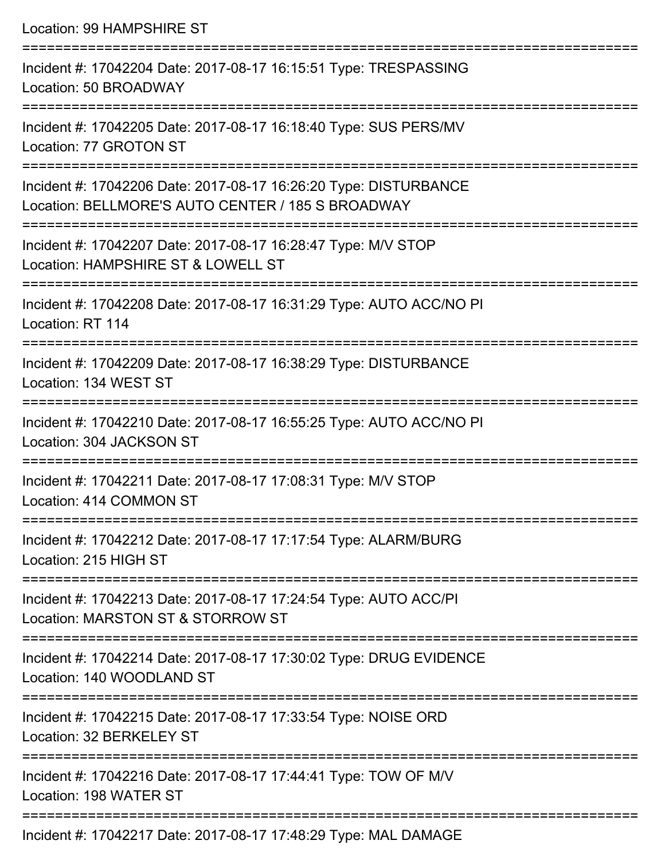Location: 99 HAMPSHIRE ST =========================================================================== Incident #: 17042204 Date: 2017-08-17 16:15:51 Type: TRESPASSING Location: 50 BROADWAY =========================================================================== Incident #: 17042205 Date: 2017-08-17 16:18:40 Type: SUS PERS/MV Location: 77 GROTON ST =========================================================================== Incident #: 17042206 Date: 2017-08-17 16:26:20 Type: DISTURBANCE Location: BELLMORE'S AUTO CENTER / 185 S BROADWAY =========================================================================== Incident #: 17042207 Date: 2017-08-17 16:28:47 Type: M/V STOP Location: HAMPSHIRE ST & LOWELL ST =========================================================================== Incident #: 17042208 Date: 2017-08-17 16:31:29 Type: AUTO ACC/NO PI Location: RT 114 =========================================================================== Incident #: 17042209 Date: 2017-08-17 16:38:29 Type: DISTURBANCE Location: 134 WEST ST =========================================================================== Incident #: 17042210 Date: 2017-08-17 16:55:25 Type: AUTO ACC/NO PI Location: 304 JACKSON ST =========================================================================== Incident #: 17042211 Date: 2017-08-17 17:08:31 Type: M/V STOP Location: 414 COMMON ST =========================================================================== Incident #: 17042212 Date: 2017-08-17 17:17:54 Type: ALARM/BURG Location: 215 HIGH ST =========================================================================== Incident #: 17042213 Date: 2017-08-17 17:24:54 Type: AUTO ACC/PI Location: MARSTON ST & STORROW ST =========================================================================== Incident #: 17042214 Date: 2017-08-17 17:30:02 Type: DRUG EVIDENCE Location: 140 WOODLAND ST =========================================================================== Incident #: 17042215 Date: 2017-08-17 17:33:54 Type: NOISE ORD Location: 32 BERKELEY ST =========================================================================== Incident #: 17042216 Date: 2017-08-17 17:44:41 Type: TOW OF M/V Location: 198 WATER ST ===========================================================================

Incident #: 17042217 Date: 2017-08-17 17:48:29 Type: MAL DAMAGE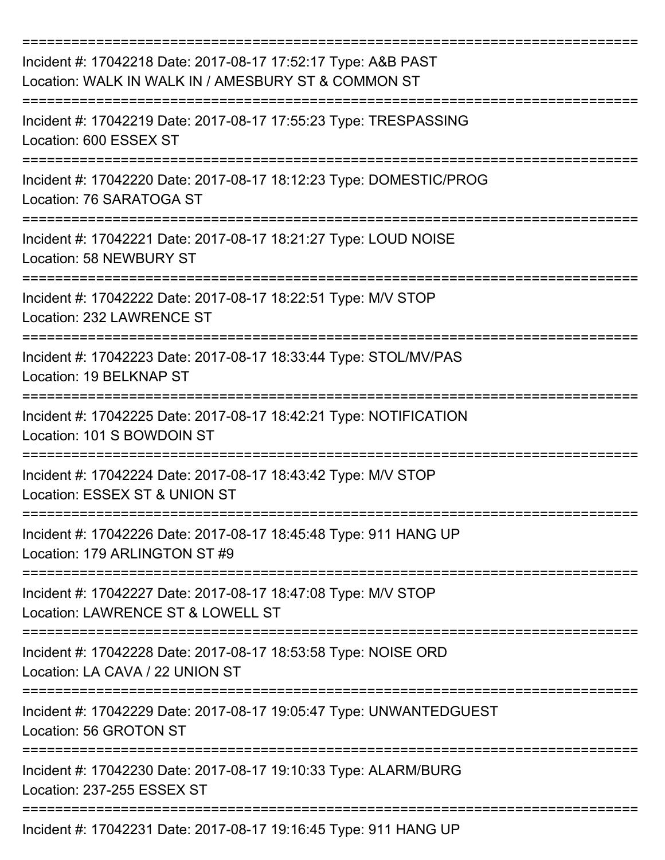| Incident #: 17042218 Date: 2017-08-17 17:52:17 Type: A&B PAST<br>Location: WALK IN WALK IN / AMESBURY ST & COMMON ST |
|----------------------------------------------------------------------------------------------------------------------|
| Incident #: 17042219 Date: 2017-08-17 17:55:23 Type: TRESPASSING<br>Location: 600 ESSEX ST                           |
| Incident #: 17042220 Date: 2017-08-17 18:12:23 Type: DOMESTIC/PROG<br>Location: 76 SARATOGA ST                       |
| Incident #: 17042221 Date: 2017-08-17 18:21:27 Type: LOUD NOISE<br>Location: 58 NEWBURY ST                           |
| Incident #: 17042222 Date: 2017-08-17 18:22:51 Type: M/V STOP<br>Location: 232 LAWRENCE ST                           |
| Incident #: 17042223 Date: 2017-08-17 18:33:44 Type: STOL/MV/PAS<br>Location: 19 BELKNAP ST                          |
| Incident #: 17042225 Date: 2017-08-17 18:42:21 Type: NOTIFICATION<br>Location: 101 S BOWDOIN ST                      |
| Incident #: 17042224 Date: 2017-08-17 18:43:42 Type: M/V STOP<br>Location: ESSEX ST & UNION ST                       |
| Incident #: 17042226 Date: 2017-08-17 18:45:48 Type: 911 HANG UP<br>Location: 179 ARLINGTON ST #9                    |
| Incident #: 17042227 Date: 2017-08-17 18:47:08 Type: M/V STOP<br>Location: LAWRENCE ST & LOWELL ST                   |
| Incident #: 17042228 Date: 2017-08-17 18:53:58 Type: NOISE ORD<br>Location: LA CAVA / 22 UNION ST                    |
| Incident #: 17042229 Date: 2017-08-17 19:05:47 Type: UNWANTEDGUEST<br>Location: 56 GROTON ST                         |
| Incident #: 17042230 Date: 2017-08-17 19:10:33 Type: ALARM/BURG<br>Location: 237-255 ESSEX ST                        |
| Incident #: 17042231 Date: 2017-08-17 19:16:45 Type: 911 HANG UP                                                     |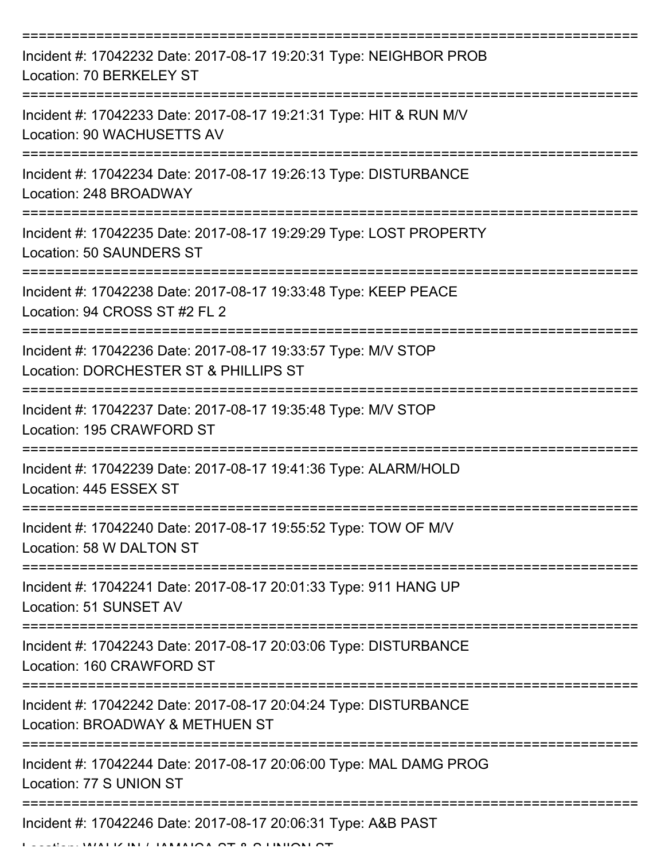| Incident #: 17042232 Date: 2017-08-17 19:20:31 Type: NEIGHBOR PROB<br>Location: 70 BERKELEY ST                       |
|----------------------------------------------------------------------------------------------------------------------|
| Incident #: 17042233 Date: 2017-08-17 19:21:31 Type: HIT & RUN M/V<br>Location: 90 WACHUSETTS AV                     |
| Incident #: 17042234 Date: 2017-08-17 19:26:13 Type: DISTURBANCE<br>Location: 248 BROADWAY                           |
| Incident #: 17042235 Date: 2017-08-17 19:29:29 Type: LOST PROPERTY<br>Location: 50 SAUNDERS ST                       |
| Incident #: 17042238 Date: 2017-08-17 19:33:48 Type: KEEP PEACE<br>Location: 94 CROSS ST #2 FL 2                     |
| Incident #: 17042236 Date: 2017-08-17 19:33:57 Type: M/V STOP<br>Location: DORCHESTER ST & PHILLIPS ST               |
| Incident #: 17042237 Date: 2017-08-17 19:35:48 Type: M/V STOP<br>Location: 195 CRAWFORD ST                           |
| Incident #: 17042239 Date: 2017-08-17 19:41:36 Type: ALARM/HOLD<br>Location: 445 ESSEX ST                            |
| Incident #: 17042240 Date: 2017-08-17 19:55:52 Type: TOW OF M/V<br>Location: 58 W DALTON ST                          |
| ======================<br>Incident #: 17042241 Date: 2017-08-17 20:01:33 Type: 911 HANG UP<br>Location: 51 SUNSET AV |
| Incident #: 17042243 Date: 2017-08-17 20:03:06 Type: DISTURBANCE<br>Location: 160 CRAWFORD ST                        |
| Incident #: 17042242 Date: 2017-08-17 20:04:24 Type: DISTURBANCE<br>Location: BROADWAY & METHUEN ST                  |
| Incident #: 17042244 Date: 2017-08-17 20:06:00 Type: MAL DAMG PROG<br>Location: 77 S UNION ST                        |
| Incident #: 17042246 Date: 2017-08-17 20:06:31 Type: A&B PAST<br>1111111111010T0011110110                            |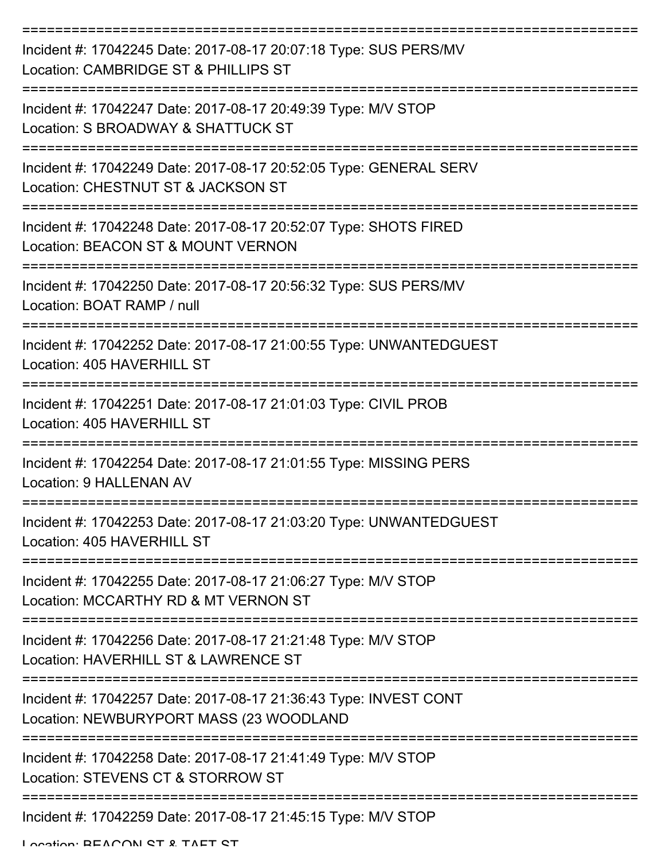| Incident #: 17042245 Date: 2017-08-17 20:07:18 Type: SUS PERS/MV<br>Location: CAMBRIDGE ST & PHILLIPS ST    |
|-------------------------------------------------------------------------------------------------------------|
| Incident #: 17042247 Date: 2017-08-17 20:49:39 Type: M/V STOP<br>Location: S BROADWAY & SHATTUCK ST         |
| Incident #: 17042249 Date: 2017-08-17 20:52:05 Type: GENERAL SERV<br>Location: CHESTNUT ST & JACKSON ST     |
| Incident #: 17042248 Date: 2017-08-17 20:52:07 Type: SHOTS FIRED<br>Location: BEACON ST & MOUNT VERNON      |
| Incident #: 17042250 Date: 2017-08-17 20:56:32 Type: SUS PERS/MV<br>Location: BOAT RAMP / null              |
| Incident #: 17042252 Date: 2017-08-17 21:00:55 Type: UNWANTEDGUEST<br>Location: 405 HAVERHILL ST            |
| Incident #: 17042251 Date: 2017-08-17 21:01:03 Type: CIVIL PROB<br>Location: 405 HAVERHILL ST               |
| Incident #: 17042254 Date: 2017-08-17 21:01:55 Type: MISSING PERS<br><b>Location: 9 HALLENAN AV</b>         |
| Incident #: 17042253 Date: 2017-08-17 21:03:20 Type: UNWANTEDGUEST<br>Location: 405 HAVERHILL ST            |
| Incident #: 17042255 Date: 2017-08-17 21:06:27 Type: M/V STOP<br>Location: MCCARTHY RD & MT VERNON ST       |
| Incident #: 17042256 Date: 2017-08-17 21:21:48 Type: M/V STOP<br>Location: HAVERHILL ST & LAWRENCE ST       |
| Incident #: 17042257 Date: 2017-08-17 21:36:43 Type: INVEST CONT<br>Location: NEWBURYPORT MASS (23 WOODLAND |
| Incident #: 17042258 Date: 2017-08-17 21:41:49 Type: M/V STOP<br>Location: STEVENS CT & STORROW ST          |
| Incident #: 17042259 Date: 2017-08-17 21:45:15 Type: M/V STOP                                               |

Location: REACON ST & TAFT ST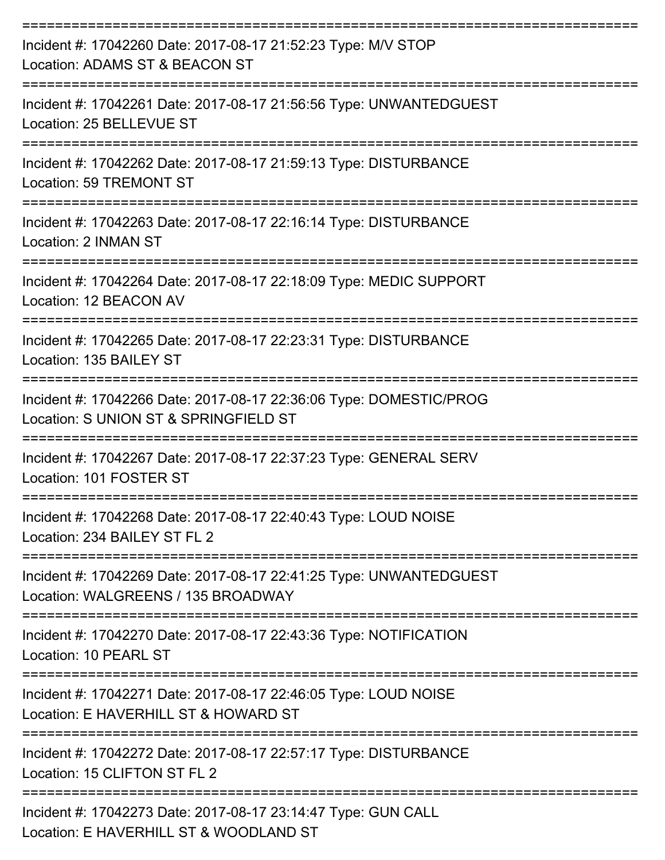| Incident #: 17042260 Date: 2017-08-17 21:52:23 Type: M/V STOP<br>Location: ADAMS ST & BEACON ST<br>---------------------------                                          |
|-------------------------------------------------------------------------------------------------------------------------------------------------------------------------|
| Incident #: 17042261 Date: 2017-08-17 21:56:56 Type: UNWANTEDGUEST<br>Location: 25 BELLEVUE ST                                                                          |
| Incident #: 17042262 Date: 2017-08-17 21:59:13 Type: DISTURBANCE<br><b>Location: 59 TREMONT ST</b>                                                                      |
| Incident #: 17042263 Date: 2017-08-17 22:16:14 Type: DISTURBANCE<br>Location: 2 INMAN ST                                                                                |
| --------------------------------<br>Incident #: 17042264 Date: 2017-08-17 22:18:09 Type: MEDIC SUPPORT<br>Location: 12 BEACON AV                                        |
| Incident #: 17042265 Date: 2017-08-17 22:23:31 Type: DISTURBANCE<br>Location: 135 BAILEY ST                                                                             |
| ,,,,,,,,,,,,,,,,,,,,<br>Incident #: 17042266 Date: 2017-08-17 22:36:06 Type: DOMESTIC/PROG<br>Location: S UNION ST & SPRINGFIELD ST                                     |
| Incident #: 17042267 Date: 2017-08-17 22:37:23 Type: GENERAL SERV<br>Location: 101 FOSTER ST                                                                            |
| Incident #: 17042268 Date: 2017-08-17 22:40:43 Type: LOUD NOISE<br>Location: 234 BAILEY ST FL 2                                                                         |
| Incident #: 17042269 Date: 2017-08-17 22:41:25 Type: UNWANTEDGUEST<br>Location: WALGREENS / 135 BROADWAY                                                                |
| Incident #: 17042270 Date: 2017-08-17 22:43:36 Type: NOTIFICATION<br>Location: 10 PEARL ST                                                                              |
| Incident #: 17042271 Date: 2017-08-17 22:46:05 Type: LOUD NOISE<br>Location: E HAVERHILL ST & HOWARD ST                                                                 |
| Incident #: 17042272 Date: 2017-08-17 22:57:17 Type: DISTURBANCE<br>Location: 15 CLIFTON ST FL 2                                                                        |
| ============================<br>----------------------------<br>Incident #: 17042273 Date: 2017-08-17 23:14:47 Type: GUN CALL<br>Location: E HAVERHILL ST & WOODLAND ST |